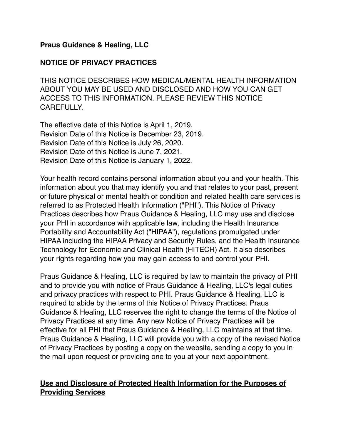## **Praus Guidance & Healing, LLC**

### **NOTICE OF PRIVACY PRACTICES**

THIS NOTICE DESCRIBES HOW MEDICAL/MENTAL HEALTH INFORMATION ABOUT YOU MAY BE USED AND DISCLOSED AND HOW YOU CAN GET ACCESS TO THIS INFORMATION. PLEASE REVIEW THIS NOTICE CAREFULLY.

The effective date of this Notice is April 1, 2019. Revision Date of this Notice is December 23, 2019. Revision Date of this Notice is July 26, 2020. Revision Date of this Notice is June 7, 2021. Revision Date of this Notice is January 1, 2022.

Your health record contains personal information about you and your health. This information about you that may identify you and that relates to your past, present or future physical or mental health or condition and related health care services is referred to as Protected Health Information ("PHI"). This Notice of Privacy Practices describes how Praus Guidance & Healing, LLC may use and disclose your PHI in accordance with applicable law, including the Health Insurance Portability and Accountability Act ("HIPAA"), regulations promulgated under HIPAA including the HIPAA Privacy and Security Rules, and the Health Insurance Technology for Economic and Clinical Health (HITECH) Act. It also describes your rights regarding how you may gain access to and control your PHI.

Praus Guidance & Healing, LLC is required by law to maintain the privacy of PHI and to provide you with notice of Praus Guidance & Healing, LLC's legal duties and privacy practices with respect to PHI. Praus Guidance & Healing, LLC is required to abide by the terms of this Notice of Privacy Practices. Praus Guidance & Healing, LLC reserves the right to change the terms of the Notice of Privacy Practices at any time. Any new Notice of Privacy Practices will be effective for all PHI that Praus Guidance & Healing, LLC maintains at that time. Praus Guidance & Healing, LLC will provide you with a copy of the revised Notice of Privacy Practices by posting a copy on the website, sending a copy to you in the mail upon request or providing one to you at your next appointment.

## **Use and Disclosure of Protected Health Information for the Purposes of Providing Services**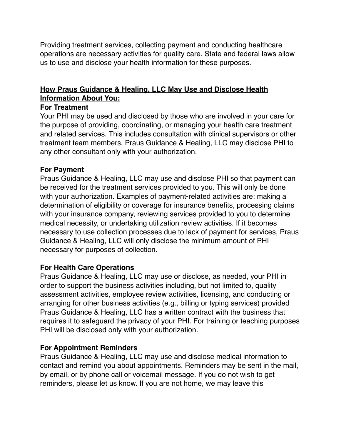Providing treatment services, collecting payment and conducting healthcare operations are necessary activities for quality care. State and federal laws allow us to use and disclose your health information for these purposes.

# **How Praus Guidance & Healing, LLC May Use and Disclose Health Information About You:**

### **For Treatment**

Your PHI may be used and disclosed by those who are involved in your care for the purpose of providing, coordinating, or managing your health care treatment and related services. This includes consultation with clinical supervisors or other treatment team members. Praus Guidance & Healing, LLC may disclose PHI to any other consultant only with your authorization.

## **For Payment**

Praus Guidance & Healing, LLC may use and disclose PHI so that payment can be received for the treatment services provided to you. This will only be done with your authorization. Examples of payment-related activities are: making a determination of eligibility or coverage for insurance benefits, processing claims with your insurance company, reviewing services provided to you to determine medical necessity, or undertaking utilization review activities. If it becomes necessary to use collection processes due to lack of payment for services, Praus Guidance & Healing, LLC will only disclose the minimum amount of PHI necessary for purposes of collection.

## **For Health Care Operations**

Praus Guidance & Healing, LLC may use or disclose, as needed, your PHI in order to support the business activities including, but not limited to, quality assessment activities, employee review activities, licensing, and conducting or arranging for other business activities (e.g., billing or typing services) provided Praus Guidance & Healing, LLC has a written contract with the business that requires it to safeguard the privacy of your PHI. For training or teaching purposes PHI will be disclosed only with your authorization.

## **For Appointment Reminders**

Praus Guidance & Healing, LLC may use and disclose medical information to contact and remind you about appointments. Reminders may be sent in the mail, by email, or by phone call or voicemail message. If you do not wish to get reminders, please let us know. If you are not home, we may leave this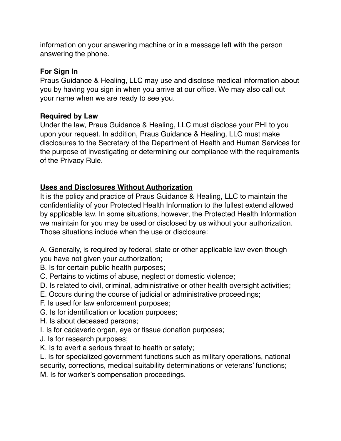information on your answering machine or in a message left with the person answering the phone.

# **For Sign In**

Praus Guidance & Healing, LLC may use and disclose medical information about you by having you sign in when you arrive at our office. We may also call out your name when we are ready to see you.

# **Required by Law**

Under the law, Praus Guidance & Healing, LLC must disclose your PHI to you upon your request. In addition, Praus Guidance & Healing, LLC must make disclosures to the Secretary of the Department of Health and Human Services for the purpose of investigating or determining our compliance with the requirements of the Privacy Rule.

# **Uses and Disclosures Without Authorization**

It is the policy and practice of Praus Guidance & Healing, LLC to maintain the confidentiality of your Protected Health Information to the fullest extend allowed by applicable law. In some situations, however, the Protected Health Information we maintain for you may be used or disclosed by us without your authorization. Those situations include when the use or disclosure:

A. Generally, is required by federal, state or other applicable law even though you have not given your authorization;

- B. Is for certain public health purposes;
- C. Pertains to victims of abuse, neglect or domestic violence;
- D. Is related to civil, criminal, administrative or other health oversight activities;
- E. Occurs during the course of judicial or administrative proceedings;
- F. Is used for law enforcement purposes;
- G. Is for identification or location purposes;
- H. Is about deceased persons;
- I. Is for cadaveric organ, eye or tissue donation purposes;
- J. Is for research purposes;
- K. Is to avert a serious threat to health or safety;

L. Is for specialized government functions such as military operations, national security, corrections, medical suitability determinations or veterans' functions;

M. Is for worker's compensation proceedings.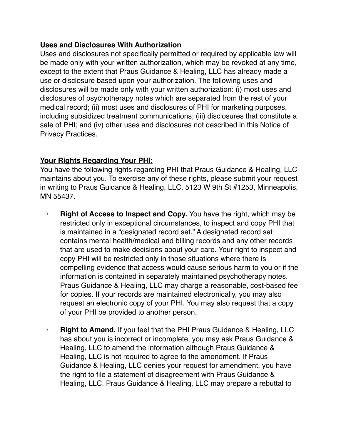# **Uses and Disclosures With Authorization**

Uses and disclosures not specifically permitted or required by applicable law will be made only with your written authorization, which may be revoked at any time, except to the extent that Praus Guidance & Healing, LLC has already made a use or disclosure based upon your authorization. The following uses and disclosures will be made only with your written authorization: (i) most uses and disclosures of psychotherapy notes which are separated from the rest of your medical record; (ii) most uses and disclosures of PHI for marketing purposes, including subsidized treatment communications; (iii) disclosures that constitute a sale of PHI; and (iv) other uses and disclosures not described in this Notice of Privacy Practices.

# **Your Rights Regarding Your PHI:**

You have the following rights regarding PHI that Praus Guidance & Healing, LLC maintains about you. To exercise any of these rights, please submit your request in writing to Praus Guidance & Healing, LLC, 5123 W 9th St #1253, Minneapolis, MN 55437.

- **• Right of Access to Inspect and Copy.** You have the right, which may be restricted only in exceptional circumstances, to inspect and copy PHI that is maintained in a "designated record set." A designated record set contains mental health/medical and billing records and any other records that are used to make decisions about your care. Your right to inspect and copy PHI will be restricted only in those situations where there is compelling evidence that access would cause serious harm to you or if the information is contained in separately maintained psychotherapy notes. Praus Guidance & Healing, LLC may charge a reasonable, cost-based fee for copies. If your records are maintained electronically, you may also request an electronic copy of your PHI. You may also request that a copy of your PHI be provided to another person.
- **• Right to Amend.** If you feel that the PHI Praus Guidance & Healing, LLC has about you is incorrect or incomplete, you may ask Praus Guidance & Healing, LLC to amend the information although Praus Guidance & Healing, LLC is not required to agree to the amendment. If Praus Guidance & Healing, LLC denies your request for amendment, you have the right to file a statement of disagreement with Praus Guidance & Healing, LLC. Praus Guidance & Healing, LLC may prepare a rebuttal to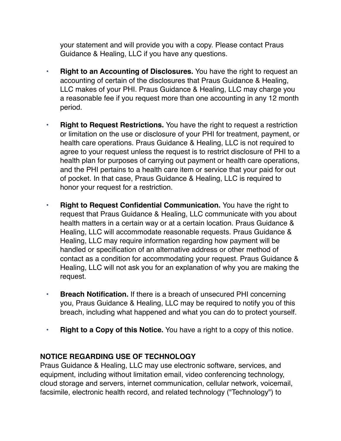your statement and will provide you with a copy. Please contact Praus Guidance & Healing, LLC if you have any questions.

- **• Right to an Accounting of Disclosures.** You have the right to request an accounting of certain of the disclosures that Praus Guidance & Healing, LLC makes of your PHI. Praus Guidance & Healing, LLC may charge you a reasonable fee if you request more than one accounting in any 12 month period.
- **• Right to Request Restrictions.** You have the right to request a restriction or limitation on the use or disclosure of your PHI for treatment, payment, or health care operations. Praus Guidance & Healing, LLC is not required to agree to your request unless the request is to restrict disclosure of PHI to a health plan for purposes of carrying out payment or health care operations, and the PHI pertains to a health care item or service that your paid for out of pocket. In that case, Praus Guidance & Healing, LLC is required to honor your request for a restriction.
- **• Right to Request Confidential Communication.** You have the right to request that Praus Guidance & Healing, LLC communicate with you about health matters in a certain way or at a certain location. Praus Guidance & Healing, LLC will accommodate reasonable requests. Praus Guidance & Healing, LLC may require information regarding how payment will be handled or specification of an alternative address or other method of contact as a condition for accommodating your request. Praus Guidance & Healing, LLC will not ask you for an explanation of why you are making the request.
- **• Breach Notification.** If there is a breach of unsecured PHI concerning you, Praus Guidance & Healing, LLC may be required to notify you of this breach, including what happened and what you can do to protect yourself.
- **• Right to a Copy of this Notice.** You have a right to a copy of this notice.

## **NOTICE REGARDING USE OF TECHNOLOGY**

Praus Guidance & Healing, LLC may use electronic software, services, and equipment, including without limitation email, video conferencing technology, cloud storage and servers, internet communication, cellular network, voicemail, facsimile, electronic health record, and related technology ("Technology") to